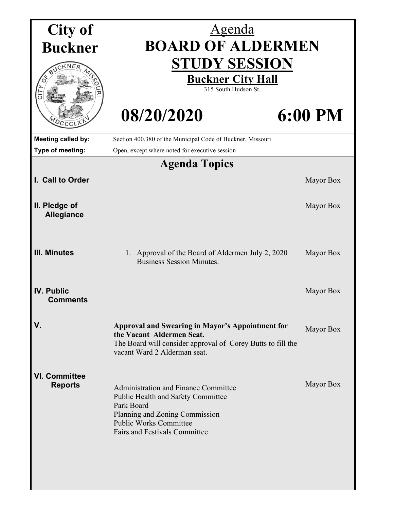| City of                                | <u>Agenda</u>                                                                                                                                                                                              |           |  |
|----------------------------------------|------------------------------------------------------------------------------------------------------------------------------------------------------------------------------------------------------------|-----------|--|
| <b>Buckner</b>                         | <b>BOARD OF ALDERMEN</b>                                                                                                                                                                                   |           |  |
|                                        | <b>STUDY SESSION</b><br><b>Buckner City Hall</b><br>315 South Hudson St.                                                                                                                                   |           |  |
| $\sigma$                               | 08/20/2020                                                                                                                                                                                                 | 6:00 PM   |  |
| Meeting called by:                     | Section 400.380 of the Municipal Code of Buckner, Missouri                                                                                                                                                 |           |  |
| Type of meeting:                       | Open, except where noted for executive session                                                                                                                                                             |           |  |
|                                        | <b>Agenda Topics</b>                                                                                                                                                                                       |           |  |
| I. Call to Order                       |                                                                                                                                                                                                            | Mayor Box |  |
| II. Pledge of<br><b>Allegiance</b>     |                                                                                                                                                                                                            | Mayor Box |  |
| <b>III. Minutes</b>                    | 1. Approval of the Board of Aldermen July 2, 2020<br><b>Business Session Minutes.</b>                                                                                                                      | Mayor Box |  |
| <b>IV. Public</b><br><b>Comments</b>   |                                                                                                                                                                                                            | Mayor Box |  |
| V.                                     | <b>Approval and Swearing in Mayor's Appointment for</b><br>the Vacant Aldermen Seat.<br>The Board will consider approval of Corey Butts to fill the<br>vacant Ward 2 Alderman seat.                        | Mayor Box |  |
| <b>VI. Committee</b><br><b>Reports</b> | <b>Administration and Finance Committee</b><br>Public Health and Safety Committee<br>Park Board<br>Planning and Zoning Commission<br><b>Public Works Committee</b><br><b>Fairs and Festivals Committee</b> | Mayor Box |  |